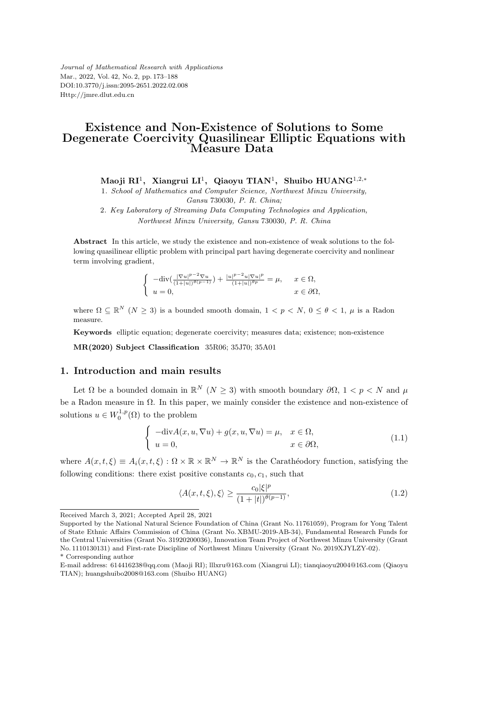*Journal of Mathematical Research with Applications* Mar., 2022, Vol. 42, No. 2, pp. 173–188 DOI:10.3770/j.issn:2095-2651.2022.02.008 Http://jmre.dlut.edu.cn

## **Existence and Non-Existence of Solutions to Some Degenerate Coercivity Quasilinear Elliptic Equations with Measure Data**

**Maoji RI**<sup>1</sup> **, Xiangrui LI**<sup>1</sup> **, Qiaoyu TIAN**<sup>1</sup> **, Shuibo HUANG**<sup>1</sup>*,*2*,<sup>∗</sup>*

1*. School of Mathematics and Computer Science, Northwest Minzu University, Gansu* 730030*, P. R. China;*

2*. Key Laboratory of Streaming Data Computing Technologies and Application, Northwest Minzu University, Gansu* 730030*, P. R. China*

**Abstract** In this article, we study the existence and non-existence of weak solutions to the following quasilinear elliptic problem with principal part having degenerate coercivity and nonlinear term involving gradient,

$$
\begin{cases}\n-\text{div}\left(\frac{|\nabla u|^{p-2}\nabla u}{(1+|u|)^{\theta(p-1)}}\right) + \frac{|u|^{p-2}u|\nabla u|^p}{(1+|u|)^{\theta p}} = \mu, & x \in \Omega, \\
u = 0, & x \in \partial\Omega,\n\end{cases}
$$

where  $\Omega \subseteq \mathbb{R}^N$  ( $N \geq 3$ ) is a bounded smooth domain,  $1 < p < N$ ,  $0 \leq \theta < 1$ ,  $\mu$  is a Radon measure.

**Keywords** elliptic equation; degenerate coercivity; measures data; existence; non-existence

**MR(2020) Subject Classification** 35R06; 35J70; 35A01

## **1. Introduction and main results**

Let  $\Omega$  be a bounded domain in  $\mathbb{R}^N$  ( $N \geq 3$ ) with smooth boundary  $\partial \Omega$ ,  $1 < p < N$  and  $\mu$ be a Radon measure in Ω. In this paper, we mainly consider the existence and non-existence of solutions  $u \in W_0^{1,p}(\Omega)$  to the problem

$$
\begin{cases}\n-\text{div}A(x, u, \nabla u) + g(x, u, \nabla u) = \mu, & x \in \Omega, \\
u = 0, & x \in \partial\Omega,\n\end{cases}
$$
\n(1.1)

where  $A(x, t, \xi) \equiv A_i(x, t, \xi) : \Omega \times \mathbb{R} \times \mathbb{R}^N \to \mathbb{R}^N$  is the Carathéodory function, satisfying the following conditions: there exist positive constants  $c_0, c_1$ , such that

$$
\langle A(x,t,\xi),\xi\rangle \ge \frac{c_0|\xi|^p}{(1+|t|)^{\theta(p-1)}},\tag{1.2}
$$

Received March 3, 2021; Accepted April 28, 2021

Supported by the National Natural Science Foundation of China (Grant No. 11761059), Program for Yong Talent of State Ethnic Affairs Commission of China (Grant No. XBMU-2019-AB-34), Fundamental Research Funds for the Central Universities (Grant No. 31920200036), Innovation Team Project of Northwest Minzu University (Grant No. 1110130131) and First-rate Discipline of Northwest Minzu University (Grant No. 2019XJYLZY-02). \* Corresponding author

E-mail address: 614416238@qq.com (Maoji RI); lllxru@163.com (Xiangrui LI); tianqiaoyu2004@163.com (Qiaoyu TIAN); huangshuibo2008@163.com (Shuibo HUANG)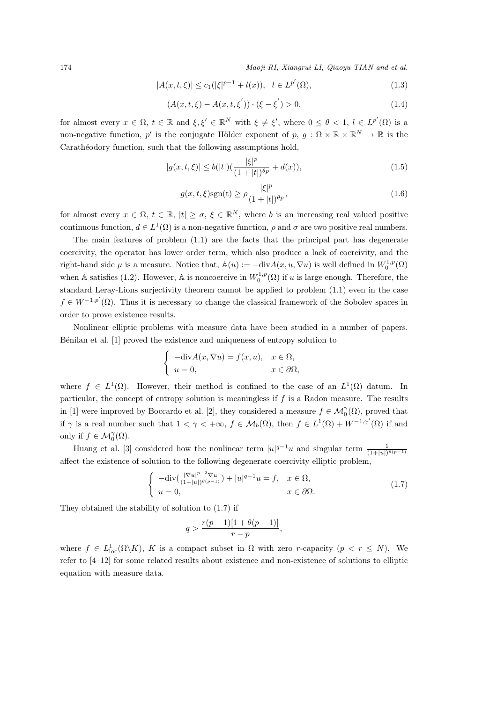$$
|A(x,t,\xi)| \le c_1(|\xi|^{p-1} + l(x)), \quad l \in L^{p'}(\Omega),\tag{1.3}
$$

$$
(A(x,t,\xi) - A(x,t,\xi')) \cdot (\xi - \xi') > 0,
$$
\n(1.4)

for almost every  $x \in \Omega$ ,  $t \in \mathbb{R}$  and  $\xi, \xi' \in \mathbb{R}^N$  with  $\xi \neq \xi'$ , where  $0 \leq \theta < 1$ ,  $l \in L^{p'}(\Omega)$  is a non-negative function, *p'* is the conjugate Hölder exponent of  $p, g: \Omega \times \mathbb{R} \times \mathbb{R}^N \to \mathbb{R}$  is the Carathéodory function, such that the following assumptions hold,

$$
|g(x,t,\xi)| \le b(|t|) \left(\frac{|\xi|^p}{(1+|t|)^{\theta p}} + d(x)\right),\tag{1.5}
$$

$$
g(x,t,\xi)\text{sgn}(t) \ge \rho \frac{|\xi|^p}{(1+|t|)^{\theta p}},\tag{1.6}
$$

for almost every  $x \in \Omega$ ,  $t \in \mathbb{R}$ ,  $|t| \geq \sigma$ ,  $\xi \in \mathbb{R}^N$ , where *b* is an increasing real valued positive continuous function,  $d \in L^1(\Omega)$  is a non-negative function,  $\rho$  and  $\sigma$  are two positive real numbers.

The main features of problem  $(1.1)$  are the facts that the principal part has degenerate coercivity, the operator has lower order term, which also produce a lack of coercivity, and the right-hand side  $\mu$  is a measure. Notice that,  $\mathbb{A}(u) := -\text{div}A(x, u, \nabla u)$  is well defined in  $W_0^{1,p}(\Omega)$ when A satisfies (1.2). However, A is noncoercive in  $W_0^{1,p}(\Omega)$  if *u* is large enough. Therefore, the standard Leray-Lions surjectivity theorem cannot be applied to problem (1.1) even in the case  $f \in W^{-1,p'}(\Omega)$ . Thus it is necessary to change the classical framework of the Sobolev spaces in order to prove existence results.

Nonlinear elliptic problems with measure data have been studied in a number of papers. Bénilan et al. [1] proved the existence and uniqueness of entropy solution to

$$
\begin{cases}\n-\text{div}A(x,\nabla u) = f(x,u), & x \in \Omega, \\
u = 0, & x \in \partial\Omega,\n\end{cases}
$$

where  $f \in L^1(\Omega)$ . However, their method is confined to the case of an  $L^1(\Omega)$  datum. In particular, the concept of entropy solution is meaningless if *f* is a Radon measure. The results in [1] were improved by Boccardo et al. [2], they considered a measure  $f \in \mathcal{M}_0^{\gamma}(\Omega)$ , proved that if  $\gamma$  is a real number such that  $1 < \gamma < +\infty$ ,  $f \in M_b(\Omega)$ , then  $f \in L^1(\Omega) + W^{-1,\gamma'}(\Omega)$  if and only if  $f \in \mathcal{M}_0^{\gamma}(\Omega)$ .

Huang et al. [3] considered how the nonlinear term  $|u|^{q-1}u$  and singular term  $\frac{1}{(1+|u|)^{\theta(p-1)}}$ affect the existence of solution to the following degenerate coercivity elliptic problem,

$$
\begin{cases}\n-\text{div}\left(\frac{|\nabla u|^{p-2}\nabla u}{(1+|u|)^{\theta(p-1)}}\right) + |u|^{q-1}u = f, & x \in \Omega, \\
u = 0, & x \in \partial\Omega.\n\end{cases}
$$
\n(1.7)

They obtained the stability of solution to (1.7) if

$$
q > \frac{r(p-1)[1+\theta(p-1)]}{r-p},
$$

where  $f \in L^1_{loc}(\Omega \backslash K)$ , K is a compact subset in  $\Omega$  with zero *r*-capacity  $(p < r \leq N)$ . We refer to [4–12] for some related results about existence and non-existence of solutions to elliptic equation with measure data.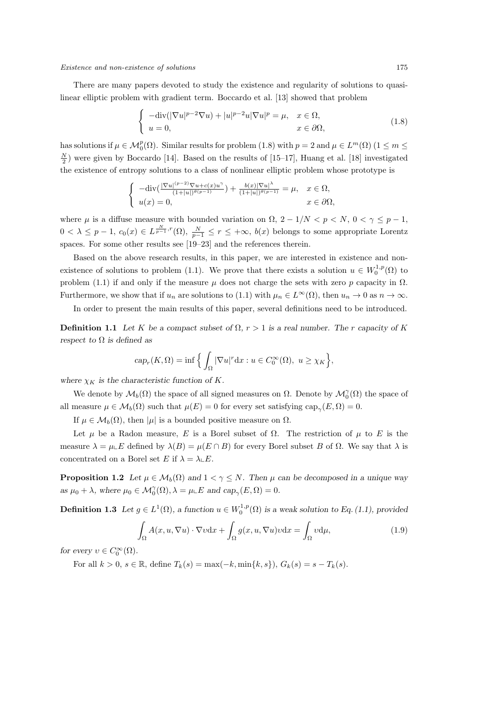There are many papers devoted to study the existence and regularity of solutions to quasilinear elliptic problem with gradient term. Boccardo et al. [13] showed that problem

$$
\begin{cases}\n-\text{div}(|\nabla u|^{p-2}\nabla u) + |u|^{p-2}u|\nabla u|^p = \mu, & x \in \Omega, \\
u = 0, & x \in \partial\Omega,\n\end{cases}
$$
\n(1.8)

has solutions if  $\mu \in M_0^p(\Omega)$ . Similar results for problem (1.8) with  $p = 2$  and  $\mu \in L^m(\Omega)$  (1  $\leq m \leq$  $\frac{N}{2}$ ) were given by Boccardo [14]. Based on the results of [15–17], Huang et al. [18] investigated the existence of entropy solutions to a class of nonlinear elliptic problem whose prototype is

$$
\begin{cases}\n-\text{div}(\frac{|\nabla u|^{(p-2)}\nabla u + c(x)u^{\gamma}}{(1+|u|)^{\theta(p-1)}}) + \frac{b(x)|\nabla u|^{\lambda}}{(1+|u|)^{\theta(p-1)}} = \mu, & x \in \Omega, \\
u(x) = 0, & x \in \partial\Omega,\n\end{cases}
$$

where  $\mu$  is a diffuse measure with bounded variation on  $\Omega$ ,  $2 - 1/N < p < N$ ,  $0 < \gamma \leq p - 1$ ,  $0 < \lambda \leq p-1, c_0(x) \in L^{\frac{N}{p-1},r}(\Omega), \frac{N}{p-1} \leq r \leq +\infty, b(x)$  belongs to some appropriate Lorentz spaces. For some other results see [19–23] and the references therein.

Based on the above research results, in this paper, we are interested in existence and nonexistence of solutions to problem (1.1). We prove that there exists a solution  $u \in W_0^{1,p}(\Omega)$  to problem (1.1) if and only if the measure  $\mu$  does not charge the sets with zero  $p$  capacity in  $\Omega$ . Furthermore, we show that if  $u_n$  are solutions to (1.1) with  $\mu_n \in L^\infty(\Omega)$ , then  $u_n \to 0$  as  $n \to \infty$ .

In order to present the main results of this paper, several definitions need to be introduced.

**Definition 1.1** Let K be a compact subset of  $\Omega$ ,  $r > 1$  is a real number. The *r* capacity of K *respect to*  $\Omega$  *is defined as* 

$$
cap_r(K, \Omega) = \inf \Big\{ \int_{\Omega} |\nabla u|^r dx : u \in C_0^{\infty}(\Omega), u \ge \chi_K \Big\},\
$$

where  $\chi_K$  is the characteristic function of K.

We denote by  $\mathcal{M}_b(\Omega)$  the space of all signed measures on  $\Omega$ . Denote by  $\mathcal{M}_0^{\gamma}(\Omega)$  the space of all measure  $\mu \in \mathcal{M}_b(\Omega)$  such that  $\mu(E) = 0$  for every set satisfying  $\text{cap}_{\gamma}(E, \Omega) = 0$ .

If  $\mu \in \mathcal{M}_b(\Omega)$ , then  $|\mu|$  is a bounded positive measure on  $\Omega$ .

Let  $\mu$  be a Radon measure, *E* is a Borel subset of  $\Omega$ . The restriction of  $\mu$  to *E* is the measure  $\lambda = \mu \Box E$  defined by  $\lambda(B) = \mu(E \cap B)$  for every Borel subset *B* of  $\Omega$ . We say that  $\lambda$  is concentrated on a Borel set *E* if  $\lambda = \lambda \mathcal{L}E$ .

**Proposition 1.2** *Let*  $\mu \in \mathcal{M}_b(\Omega)$  *and*  $1 < \gamma \leq N$ *. Then*  $\mu$  *can be decomposed in a unique way*  $aS \mu_0 + \lambda$ , where  $\mu_0 \in \mathcal{M}_0^{\gamma}(\Omega)$ ,  $\lambda = \mu \in \mathbb{E}$  and  $cap_{\gamma}(E, \Omega) = 0$ .

**Definition 1.3** Let  $g \in L^1(\Omega)$ , a function  $u \in W_0^{1,p}(\Omega)$  is a weak solution to Eq. (1.1), provided

$$
\int_{\Omega} A(x, u, \nabla u) \cdot \nabla v \, dx + \int_{\Omega} g(x, u, \nabla u) v \, dx = \int_{\Omega} v \, d\mu,\tag{1.9}
$$

*for every*  $v \in C_0^{\infty}(\Omega)$ *.* 

For all  $k > 0$ ,  $s \in \mathbb{R}$ , define  $T_k(s) = \max(-k, \min\{k, s\})$ ,  $G_k(s) = s - T_k(s)$ .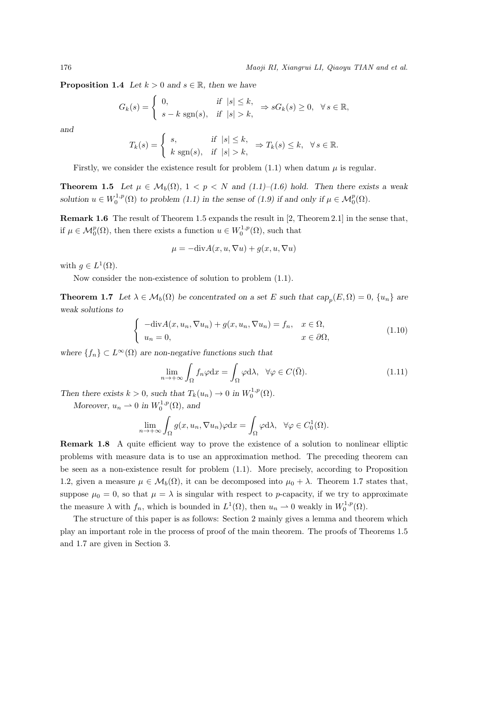**Proposition 1.4** *Let*  $k > 0$  *and*  $s \in \mathbb{R}$ *, then we have* 

$$
G_k(s) = \begin{cases} 0, & \text{if } |s| \le k, \\ s - k \operatorname{sgn}(s), & \text{if } |s| > k, \end{cases} \Rightarrow sG_k(s) \ge 0, \quad \forall \, s \in \mathbb{R},
$$

*and*

$$
T_k(s) = \begin{cases} s, & \text{if } |s| \le k, \\ k \operatorname{sgn}(s), & \text{if } |s| > k, \end{cases} \Rightarrow T_k(s) \le k, \forall s \in \mathbb{R}.
$$

Firstly, we consider the existence result for problem  $(1.1)$  when datum  $\mu$  is regular.

**Theorem 1.5** Let  $\mu \in \mathcal{M}_b(\Omega)$ ,  $1 < p < N$  and  $(1.1)$ –(1.6) hold. Then there exists a weak *solution*  $u \in W_0^{1,p}(\Omega)$  *to problem* (1.1) *in the sense of* (1.9) *if and only if*  $\mu \in M_0^p(\Omega)$ *.* 

**Remark 1.6** The result of Theorem 1.5 expands the result in [2, Theorem 2.1] in the sense that, if  $\mu \in \mathcal{M}_0^p(\Omega)$ , then there exists a function  $u \in W_0^{1,p}(\Omega)$ , such that

$$
\mu = -\text{div}A(x, u, \nabla u) + g(x, u, \nabla u)
$$

with  $g \in L^1(\Omega)$ .

Now consider the non-existence of solution to problem (1.1).

**Theorem 1.7** Let  $\lambda \in \mathcal{M}_b(\Omega)$  be concentrated on a set E such that  $cap_p(E, \Omega) = 0$ ,  $\{u_n\}$  are *weak solutions to*

$$
\begin{cases}\n-\text{div}A(x, u_n, \nabla u_n) + g(x, u_n, \nabla u_n) = f_n, & x \in \Omega, \\
u_n = 0, & x \in \partial\Omega,\n\end{cases}
$$
\n(1.10)

*where*  ${f_n} \subset L^\infty(\Omega)$  *are non-negative functions such that* 

$$
\lim_{n \to +\infty} \int_{\Omega} f_n \varphi \, dx = \int_{\Omega} \varphi \, d\lambda, \quad \forall \varphi \in C(\overline{\Omega}).\tag{1.11}
$$

*Then there exists*  $k > 0$ *, such that*  $T_k(u_n) \to 0$  *in*  $W_0^{1,p}(\Omega)$ *.* 

*Moreover,*  $u_n \rightharpoonup 0$  *in*  $W_0^{1,p}(\Omega)$ *, and* 

$$
\lim_{n \to +\infty} \int_{\Omega} g(x, u_n, \nabla u_n) \varphi \mathrm{d}x = \int_{\Omega} \varphi \mathrm{d}\lambda, \quad \forall \varphi \in C_0^1(\Omega).
$$

**Remark 1.8** A quite efficient way to prove the existence of a solution to nonlinear elliptic problems with measure data is to use an approximation method. The preceding theorem can be seen as a non-existence result for problem (1.1). More precisely, according to Proposition 1.2, given a measure  $\mu \in \mathcal{M}_b(\Omega)$ , it can be decomposed into  $\mu_0 + \lambda$ . Theorem 1.7 states that, suppose  $\mu_0 = 0$ , so that  $\mu = \lambda$  is singular with respect to *p*-capacity, if we try to approximate the measure  $\lambda$  with  $f_n$ , which is bounded in  $L^1(\Omega)$ , then  $u_n \rightharpoonup 0$  weakly in  $W_0^{1,p}(\Omega)$ .

The structure of this paper is as follows: Section 2 mainly gives a lemma and theorem which play an important role in the process of proof of the main theorem. The proofs of Theorems 1.5 and 1.7 are given in Section 3.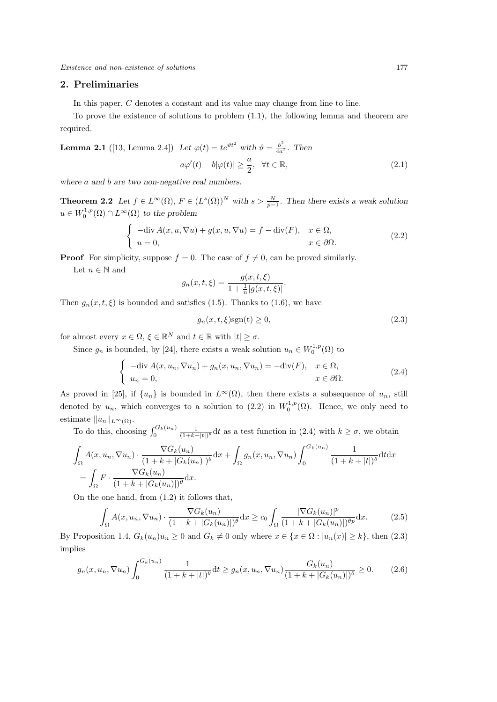#### **2. Preliminaries**

In this paper, *C* denotes a constant and its value may change from line to line.

To prove the existence of solutions to problem (1.1), the following lemma and theorem are required.

**Lemma 2.1** ([13, Lemma 2.4]) Let 
$$
\varphi(t) = te^{\vartheta t^2}
$$
 with  $\vartheta = \frac{b^2}{4a^2}$ . Then  
\n
$$
a\varphi'(t) - b|\varphi(t)| \ge \frac{a}{2}, \quad \forall t \in \mathbb{R},
$$
\n(2.1)

*where a and b are two non-negative real numbers.*

**Theorem 2.2** *Let*  $f \in L^{\infty}(\Omega)$ *,*  $F \in (L^{s}(\Omega))^{N}$  *with*  $s > \frac{N}{p-1}$ *. Then there exists a weak solution*  $u \in W_0^{1,p}(\Omega) \cap L^\infty(\Omega)$  *to the problem* 

$$
\begin{cases}\n-\text{div}\,A(x, u, \nabla u) + g(x, u, \nabla u) = f - \text{div}(F), & x \in \Omega, \\
u = 0, & x \in \partial\Omega.\n\end{cases}
$$
\n(2.2)

**Proof** For simplicity, suppose  $f = 0$ . The case of  $f \neq 0$ , can be proved similarly.

Let  $n \in \mathbb{N}$  and

$$
g_n(x, t, \xi) = \frac{g(x, t, \xi)}{1 + \frac{1}{n} |g(x, t, \xi)|}.
$$

Then  $g_n(x, t, \xi)$  is bounded and satisfies (1.5). Thanks to (1.6), we have

$$
g_n(x, t, \xi) \text{sgn}(t) \ge 0,\tag{2.3}
$$

for almost every  $x \in \Omega$ ,  $\xi \in \mathbb{R}^N$  and  $t \in \mathbb{R}$  with  $|t| \geq \sigma$ .

Since  $g_n$  is bounded, by [24], there exists a weak solution  $u_n \in W_0^{1,p}(\Omega)$  to

$$
\begin{cases}\n-\text{div}\,A(x, u_n, \nabla u_n) + g_n(x, u_n, \nabla u_n) = -\text{div}(F), & x \in \Omega, \\
u_n = 0, & x \in \partial\Omega.\n\end{cases}
$$
\n(2.4)

As proved in [25], if  $\{u_n\}$  is bounded in  $L^\infty(\Omega)$ , then there exists a subsequence of  $u_n$ , still denoted by  $u_n$ , which converges to a solution to (2.2) in  $W_0^{1,p}(\Omega)$ . Hence, we only need to estimate  $||u_n||_{L^{\infty}(\Omega)}$ .

To do this, choosing  $\int_0^{G_k(u_n)} \frac{1}{(1+k+|t|)^{\theta}} dt$  as a test function in (2.4) with  $k \geq \sigma$ , we obtain

$$
\int_{\Omega} A(x, u_n, \nabla u_n) \cdot \frac{\nabla G_k(u_n)}{(1 + k + |G_k(u_n)|)^{\theta}} dx + \int_{\Omega} g_n(x, u_n, \nabla u_n) \int_0^{G_k(u_n)} \frac{1}{(1 + k + |t|)^{\theta}} dt dx
$$
  
= 
$$
\int_{\Omega} F \cdot \frac{\nabla G_k(u_n)}{(1 + k + |G_k(u_n)|)^{\theta}} dx.
$$

On the one hand, from (1.2) it follows that,

$$
\int_{\Omega} A(x, u_n, \nabla u_n) \cdot \frac{\nabla G_k(u_n)}{(1 + k + |G_k(u_n)|)^{\theta}} dx \ge c_0 \int_{\Omega} \frac{|\nabla G_k(u_n)|^p}{(1 + k + |G_k(u_n)|)^{\theta p}} dx. \tag{2.5}
$$

By Proposition 1.4,  $G_k(u_n)u_n \geq 0$  and  $G_k \neq 0$  only where  $x \in \{x \in \Omega : |u_n(x)| \geq k\}$ , then  $(2.3)$ implies

$$
g_n(x, u_n, \nabla u_n) \int_0^{G_k(u_n)} \frac{1}{(1 + k + |t|)^{\theta}} dt \ge g_n(x, u_n, \nabla u_n) \frac{G_k(u_n)}{(1 + k + |G_k(u_n)|)^{\theta}} \ge 0.
$$
 (2.6)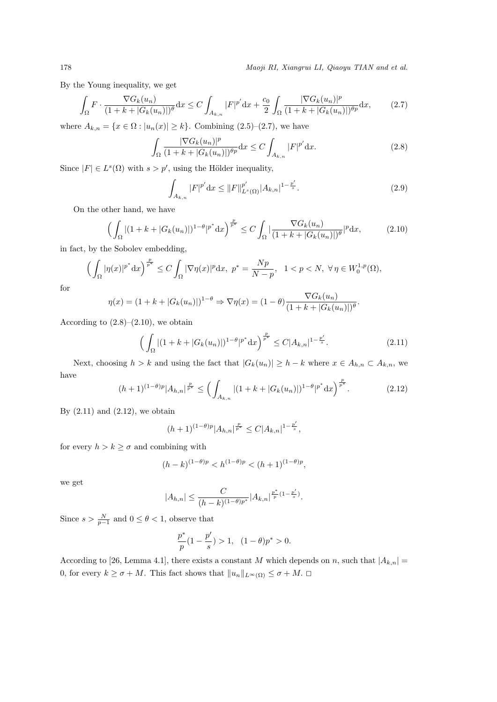By the Young inequality, we get

$$
\int_{\Omega} F \cdot \frac{\nabla G_k(u_n)}{(1+k+|G_k(u_n)|)^{\theta}} dx \le C \int_{A_{k,n}} |F|^{p'} dx + \frac{c_0}{2} \int_{\Omega} \frac{|\nabla G_k(u_n)|^p}{(1+k+|G_k(u_n)|)^{\theta p}} dx, \tag{2.7}
$$

where  $A_{k,n} = \{x \in \Omega : |u_n(x)| \ge k\}$ . Combining (2.5)–(2.7), we have

$$
\int_{\Omega} \frac{|\nabla G_k(u_n)|^p}{(1+k+|G_k(u_n)|)^{\theta p}} \, \mathrm{d}x \le C \int_{A_{k,n}} |F|^{p'} \, \mathrm{d}x. \tag{2.8}
$$

Since  $|F| \in L^s(\Omega)$  with  $s > p'$ , using the Hölder inequality,

$$
\int_{A_{k,n}} |F|^{p'} dx \le ||F||_{L^s(\Omega)}^{p'} |A_{k,n}|^{1 - \frac{p'}{s}}.
$$
\n(2.9)

On the other hand, we have

$$
\left(\int_{\Omega} |(1+k+|G_k(u_n)|)^{1-\theta}|^{p^*} \mathrm{d}x\right)^{\frac{p}{p^*}} \le C \int_{\Omega} |\frac{\nabla G_k(u_n)}{(1+k+|G_k(u_n)|)^{\theta}}|^p \mathrm{d}x,\tag{2.10}
$$

in fact, by the Sobolev embedding,

$$
\Big(\int_{\Omega}|\eta(x)|^{p^*}\mathrm{d}x\Big)^{\frac{p}{p^*}}\leq C\int_{\Omega}|\nabla\eta(x)|^p\mathrm{d}x,\ p^*=\frac{Np}{N-p},\ \ 1
$$

for

$$
\eta(x) = (1 + k + |G_k(u_n)|)^{1-\theta} \Rightarrow \nabla \eta(x) = (1 - \theta) \frac{\nabla G_k(u_n)}{(1 + k + |G_k(u_n)|)^{\theta}}.
$$

According to  $(2.8)$ – $(2.10)$ , we obtain

$$
\left(\int_{\Omega} |(1+k+|G_k(u_n)|)^{1-\theta}|^{p^*} \mathrm{d}x\right)^{\frac{p}{p^*}} \le C|A_{k,n}|^{1-\frac{p'}{s}}.\tag{2.11}
$$

Next, choosing  $h > k$  and using the fact that  $|G_k(u_n)| \geq h - k$  where  $x \in A_{h,n} \subset A_{k,n}$ , we have

$$
(h+1)^{(1-\theta)p}|A_{h,n}|^{\frac{p}{p^*}} \le \left(\int_{A_{k,n}} |(1+k+|G_k(u_n)|)^{1-\theta}|^{p^*} \mathrm{d}x\right)^{\frac{p}{p^*}}.\tag{2.12}
$$

By  $(2.11)$  and  $(2.12)$ , we obtain

$$
(h+1)^{(1-\theta)p}|A_{h,n}|^{\frac{p}{p^*}} \leq C|A_{k,n}|^{1-\frac{p'}{s}},
$$

for every  $h > k \geq \sigma$  and combining with

$$
(h - k)^{(1 - \theta)p} < h^{(1 - \theta)p} < (h + 1)^{(1 - \theta)p},
$$

we get

$$
|A_{h,n}|\leq \frac{C}{(h-k)^{(1-\theta)p^*}}|A_{k,n}|^{\frac{p^*}{p}(1-\frac{p'}{s})}.
$$

Since  $s > \frac{N}{p-1}$  and  $0 \leq \theta < 1$ , observe that

$$
\frac{p^*}{p}(1-\frac{p'}{s})>1, (1-\theta)p^*>0.
$$

According to [26, Lemma 4.1], there exists a constant *M* which depends on *n*, such that  $|A_{k,n}| =$ 0, for every  $k \ge \sigma + M$ . This fact shows that  $||u_n||_{L^{\infty}(\Omega)} \le \sigma + M$ .  $\Box$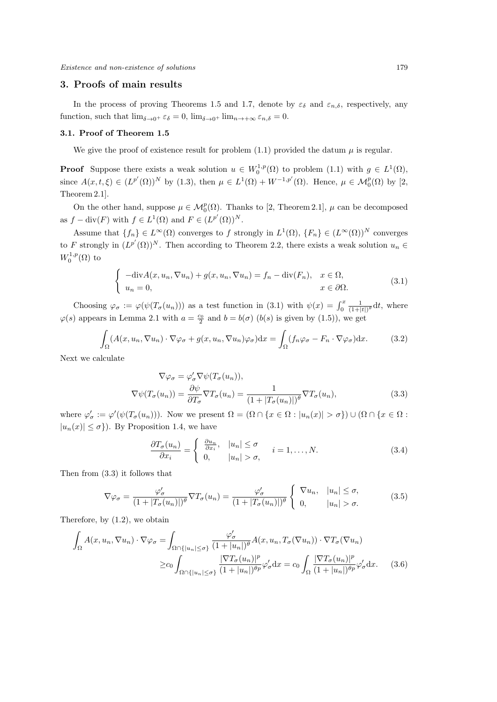### **3. Proofs of main results**

In the process of proving Theorems 1.5 and 1.7, denote by  $\varepsilon_{\delta}$  and  $\varepsilon_{n,\delta}$ , respectively, any function, such that  $\lim_{\delta \to 0^+} \varepsilon_{\delta} = 0$ ,  $\lim_{\delta \to 0^+} \lim_{n \to +\infty} \varepsilon_{n,\delta} = 0$ .

#### **3.1. Proof of Theorem 1.5**

We give the proof of existence result for problem  $(1.1)$  provided the datum  $\mu$  is regular.

**Proof** Suppose there exists a weak solution  $u \in W_0^{1,p}(\Omega)$  to problem (1.1) with  $g \in L^1(\Omega)$ , since  $A(x, t, \xi) \in (L^{p'}(\Omega))^N$  by (1.3), then  $\mu \in L^1(\Omega) + W^{-1,p'}(\Omega)$ . Hence,  $\mu \in M_0^p(\Omega)$  by [2, Theorem 2.1].

On the other hand, suppose  $\mu \in M_0^p(\Omega)$ . Thanks to [2, Theorem 2.1],  $\mu$  can be decomposed as  $f - \text{div}(F)$  with  $f \in L^1(\Omega)$  and  $F \in (L^{p'}(\Omega))^N$ .

Assume that  ${f_n} \in L^\infty(\Omega)$  converges to *f* strongly in  $L^1(\Omega)$ ,  ${F_n} \in (L^\infty(\Omega))^N$  converges to *F* strongly in  $(L^{p'}(\Omega))^N$ . Then according to Theorem 2.2, there exists a weak solution  $u_n \in$  $W_0^{1,p}(\Omega)$  to

$$
\begin{cases}\n-\text{div}A(x, u_n, \nabla u_n) + g(x, u_n, \nabla u_n) = f_n - \text{div}(F_n), & x \in \Omega, \\
u_n = 0, & x \in \partial\Omega.\n\end{cases}
$$
\n(3.1)

Choosing  $\varphi_{\sigma} := \varphi(\psi(T_{\sigma}(u_n)))$  as a test function in (3.1) with  $\psi(x) = \int_0^x \frac{1}{(1+|t|)^{\theta}} dt$ , where  $\varphi(s)$  appears in Lemma 2.1 with  $a = \frac{c_0}{2}$  and  $b = b(\sigma)$  (*b*(*s*) is given by (1.5)), we get

$$
\int_{\Omega} (A(x, u_n, \nabla u_n) \cdot \nabla \varphi_\sigma + g(x, u_n, \nabla u_n) \varphi_\sigma) dx = \int_{\Omega} (f_n \varphi_\sigma - F_n \cdot \nabla \varphi_\sigma) dx.
$$
 (3.2)

Next we calculate

$$
\nabla \varphi_{\sigma} = \varphi_{\sigma}' \nabla \psi(T_{\sigma}(u_n)),
$$
  

$$
\nabla \psi(T_{\sigma}(u_n)) = \frac{\partial \psi}{\partial T_{\sigma}} \nabla T_{\sigma}(u_n) = \frac{1}{(1 + |T_{\sigma}(u_n)|)^{\theta}} \nabla T_{\sigma}(u_n),
$$
(3.3)

where  $\varphi_{\sigma}' := \varphi'(\psi(T_{\sigma}(u_n)))$ . Now we present  $\Omega = (\Omega \cap \{x \in \Omega : |u_n(x)| > \sigma\}) \cup (\Omega \cap \{x \in \Omega : |u_n(x)| > \sigma\})$  $|u_n(x)| \leq \sigma$ . By Proposition 1.4, we have

$$
\frac{\partial T_{\sigma}(u_n)}{\partial x_i} = \begin{cases} \frac{\partial u_n}{\partial x_i}, & |u_n| \le \sigma \\ 0, & |u_n| > \sigma, \end{cases} \quad i = 1, \dots, N. \tag{3.4}
$$

Then from (3.3) it follows that

$$
\nabla \varphi_{\sigma} = \frac{\varphi_{\sigma}'}{(1 + |T_{\sigma}(u_n)|)^{\theta}} \nabla T_{\sigma}(u_n) = \frac{\varphi_{\sigma}'}{(1 + |T_{\sigma}(u_n)|)^{\theta}} \begin{cases} \nabla u_n, & |u_n| \leq \sigma, \\ 0, & |u_n| > \sigma. \n\end{cases}
$$
(3.5)

Therefore, by (1.2), we obtain

$$
\int_{\Omega} A(x, u_n, \nabla u_n) \cdot \nabla \varphi_{\sigma} = \int_{\Omega \cap \{|u_n| \leq \sigma\}} \frac{\varphi_{\sigma}'}{(1 + |u_n|)^{\theta}} A(x, u_n, T_{\sigma}(\nabla u_n)) \cdot \nabla T_{\sigma}(\nabla u_n)
$$
\n
$$
\geq c_0 \int_{\Omega \cap \{|u_n| \leq \sigma\}} \frac{|\nabla T_{\sigma}(u_n)|^p}{(1 + |u_n|)^{\theta p}} \varphi_{\sigma} dx = c_0 \int_{\Omega} \frac{|\nabla T_{\sigma}(u_n)|^p}{(1 + |u_n|)^{\theta p}} \varphi_{\sigma}' dx. \tag{3.6}
$$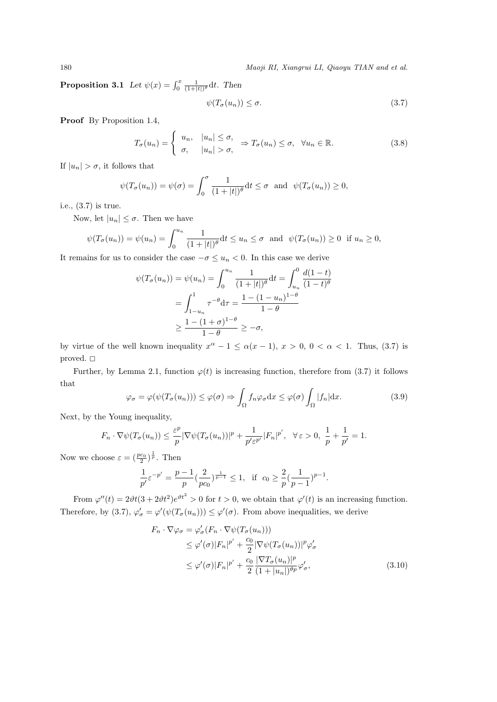**Proposition 3.1** *Let*  $\psi(x) = \int_0^x \frac{1}{(1+|t|)^{\theta}} dt$ *. Then* 

$$
\psi(T_{\sigma}(u_n)) \leq \sigma. \tag{3.7}
$$

**Proof** By Proposition 1.4,

$$
T_{\sigma}(u_n) = \begin{cases} u_n, & |u_n| \le \sigma, \\ \sigma, & |u_n| > \sigma, \end{cases} \Rightarrow T_{\sigma}(u_n) \le \sigma, \quad \forall u_n \in \mathbb{R}.
$$
 (3.8)

If  $|u_n| > \sigma$ , it follows that

$$
\psi(T_{\sigma}(u_n)) = \psi(\sigma) = \int_0^{\sigma} \frac{1}{(1+|t|)^{\theta}} dt \leq \sigma \text{ and } \psi(T_{\sigma}(u_n)) \geq 0,
$$

i.e., (3.7) is true.

Now, let  $|u_n| \leq \sigma$ . Then we have

$$
\psi(T_{\sigma}(u_n)) = \psi(u_n) = \int_0^{u_n} \frac{1}{(1+|t|)^{\theta}} dt \le u_n \le \sigma \text{ and } \psi(T_{\sigma}(u_n)) \ge 0 \text{ if } u_n \ge 0,
$$

It remains for us to consider the case *−σ ≤ u<sup>n</sup> <* 0. In this case we derive

$$
\psi(T_{\sigma}(u_n)) = \psi(u_n) = \int_0^{u_n} \frac{1}{(1+|t|)^{\theta}} dt = \int_{u_n}^0 \frac{d(1-t)}{(1-t)^{\theta}}
$$

$$
= \int_{1-u_n}^1 \tau^{-\theta} d\tau = \frac{1 - (1-u_n)^{1-\theta}}{1-\theta}
$$

$$
\geq \frac{1 - (1+\sigma)^{1-\theta}}{1-\theta} \geq -\sigma,
$$

by virtue of the well known inequality  $x^{\alpha} - 1 \leq \alpha(x - 1), x > 0, 0 < \alpha < 1$ . Thus, (3.7) is proved.  $\Box$ 

Further, by Lemma 2.1, function  $\varphi(t)$  is increasing function, therefore from (3.7) it follows that

$$
\varphi_{\sigma} = \varphi(\psi(T_{\sigma}(u_n))) \leq \varphi(\sigma) \Rightarrow \int_{\Omega} f_n \varphi_{\sigma} dx \leq \varphi(\sigma) \int_{\Omega} |f_n| dx.
$$
 (3.9)

Next, by the Young inequality,

$$
F_n \cdot \nabla \psi(T_\sigma(u_n)) \leq \frac{\varepsilon^p}{p} |\nabla \psi(T_\sigma(u_n))|^p + \frac{1}{p' \varepsilon^{p'}} |F_n|^{p'}, \quad \forall \varepsilon > 0, \ \frac{1}{p} + \frac{1}{p'} = 1.
$$

Now we choose  $\varepsilon = \left(\frac{pc_0}{2}\right)^{\frac{1}{p}}$ . Then

$$
\frac{1}{p'} \varepsilon^{-p'} = \frac{p-1}{p} (\frac{2}{pc_0})^{\frac{1}{p-1}} \leq 1, \text{ if } c_0 \geq \frac{2}{p} (\frac{1}{p-1})^{p-1}.
$$

From  $\varphi''(t) = 2\vartheta t (3 + 2\vartheta t^2) e^{\vartheta t^2} > 0$  for  $t > 0$ , we obtain that  $\varphi'(t)$  is an increasing function. Therefore, by (3.7),  $\varphi'_{\sigma} = \varphi'(\psi(T_{\sigma}(u_n))) \leq \varphi'(\sigma)$ . From above inequalities, we derive

$$
F_n \cdot \nabla \varphi_{\sigma} = \varphi_{\sigma}'(F_n \cdot \nabla \psi(T_{\sigma}(u_n)))
$$
  
\n
$$
\leq \varphi'(\sigma) |F_n|^{p'} + \frac{c_0}{2} |\nabla \psi(T_{\sigma}(u_n))|^{p} \varphi_{\sigma}'
$$
  
\n
$$
\leq \varphi'(\sigma) |F_n|^{p'} + \frac{c_0}{2} \frac{|\nabla T_{\sigma}(u_n)|^{p}}{(1 + |u_n|)^{\theta p}} \varphi_{\sigma}', \tag{3.10}
$$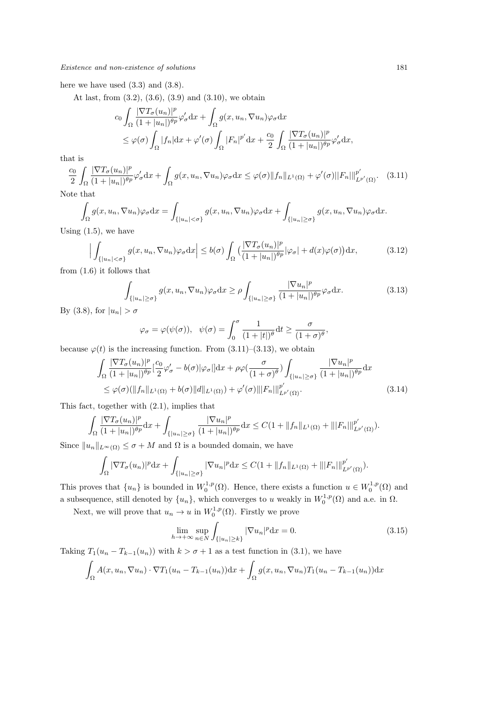here we have used  $(3.3)$  and  $(3.8)$ .

At last, from  $(3.2)$ ,  $(3.6)$ ,  $(3.9)$  and  $(3.10)$ , we obtain

$$
c_0 \int_{\Omega} \frac{|\nabla T_{\sigma}(u_n)|^p}{(1+|u_n|)^{\theta p}} \varphi_{\sigma}' dx + \int_{\Omega} g(x, u_n, \nabla u_n) \varphi_{\sigma} dx
$$
  

$$
\leq \varphi(\sigma) \int_{\Omega} |f_n| dx + \varphi'(\sigma) \int_{\Omega} |F_n|^{p'} dx + \frac{c_0}{2} \int_{\Omega} \frac{|\nabla T_{\sigma}(u_n)|^p}{(1+|u_n|)^{\theta p}} \varphi_{\sigma}' dx,
$$

that is

$$
\frac{c_0}{2} \int_{\Omega} \frac{|\nabla T_{\sigma}(u_n)|^p}{(1+|u_n|)^{\theta p}} \varphi_{\sigma}' dx + \int_{\Omega} g(x, u_n, \nabla u_n) \varphi_{\sigma} dx \leq \varphi(\sigma) \|f_n\|_{L^1(\Omega)} + \varphi'(\sigma) \|F_n\|_{L^{p'}(\Omega)}^{p'}.
$$
 (3.11)

Note that

$$
\int_{\Omega} g(x, u_n, \nabla u_n) \varphi_{\sigma} dx = \int_{\{|u_n| < \sigma\}} g(x, u_n, \nabla u_n) \varphi_{\sigma} dx + \int_{\{|u_n| \ge \sigma\}} g(x, u_n, \nabla u_n) \varphi_{\sigma} dx.
$$

Using  $(1.5)$ , we have

$$
\left| \int_{\{|u_n| < \sigma\}} g(x, u_n, \nabla u_n) \varphi_\sigma \mathrm{d}x \right| \le b(\sigma) \int_{\Omega} \left( \frac{|\nabla T_\sigma(u_n)|^p}{(1 + |u_n|)^{\theta p}} |\varphi_\sigma| + d(x) \varphi(\sigma) \right) \mathrm{d}x,\tag{3.12}
$$

from (1.6) it follows that

$$
\int_{\{|u_n| \ge \sigma\}} g(x, u_n, \nabla u_n) \varphi_\sigma \,dx \ge \rho \int_{\{|u_n| \ge \sigma\}} \frac{|\nabla u_n|^p}{(1+|u_n|)^{\theta p}} \varphi_\sigma \,dx. \tag{3.13}
$$

By (3.8), for  $|u_n| > \sigma$ 

$$
\varphi_{\sigma} = \varphi(\psi(\sigma)), \quad \psi(\sigma) = \int_0^{\sigma} \frac{1}{(1+|t|)^{\theta}} dt \ge \frac{\sigma}{(1+\sigma)^{\theta}},
$$

because  $\varphi(t)$  is the increasing function. From  $(3.11)$ – $(3.13)$ , we obtain

$$
\int_{\Omega} \frac{|\nabla T_{\sigma}(u_{n})|^{p}}{(1+|u_{n}|)^{\theta p}} \left[\frac{c_{0}}{2}\varphi_{\sigma}^{\prime} - b(\sigma)|\varphi_{\sigma}||\mathrm{d}x + \rho\varphi\left(\frac{\sigma}{(1+\sigma)^{\theta}}\right) \int_{\{|u_{n}|\geq\sigma\}} \frac{|\nabla u_{n}|^{p}}{(1+|u_{n}|)^{\theta p}} \mathrm{d}x \right] \leq \varphi(\sigma)(\|f_{n}\|_{L^{1}(\Omega)} + b(\sigma)\|d\|_{L^{1}(\Omega)}) + \varphi^{\prime}(\sigma)\|F_{n}\|_{L^{p^{\prime}}(\Omega)}^{p^{\prime}}.
$$
\n(3.14)

This fact, together with (2.1), implies that

$$
\int_{\Omega} \frac{|\nabla T_{\sigma}(u_{n})|^{p}}{(1+|u_{n}|)^{\theta p}} dx + \int_{\{|u_{n}| \geq \sigma\}} \frac{|\nabla u_{n}|^{p}}{(1+|u_{n}|)^{\theta p}} dx \leq C(1 + \|f_{n}\|_{L^{1}(\Omega)} + \| |F_{n}|||^{p'}_{L^{p'}(\Omega)}).
$$

Since  $||u_n||_{L^{\infty}(\Omega)} \leq \sigma + M$  and  $\Omega$  is a bounded domain, we have

$$
\int_{\Omega} |\nabla T_{\sigma}(u_{n})|^{p} dx + \int_{\{|u_{n}| \geq \sigma\}} |\nabla u_{n}|^{p} dx \leq C(1 + \|f_{n}\|_{L^{1}(\Omega)} + \| |F_{n}|\|_{L^{p'}(\Omega)}^{p'}).
$$

This proves that  $\{u_n\}$  is bounded in  $W_0^{1,p}(\Omega)$ . Hence, there exists a function  $u \in W_0^{1,p}(\Omega)$  and a subsequence, still denoted by  $\{u_n\}$ , which converges to *u* weakly in  $W_0^{1,p}(\Omega)$  and a.e. in  $\Omega$ .

Next, we will prove that  $u_n \to u$  in  $W_0^{1,p}(\Omega)$ . Firstly we prove

$$
\lim_{h \to +\infty} \sup_{n \in N} \int_{\{|u_n| \ge k\}} |\nabla u_n|^p \, \mathrm{d}x = 0. \tag{3.15}
$$

Taking  $T_1(u_n - T_{k-1}(u_n))$  with  $k > \sigma + 1$  as a test function in (3.1), we have

$$
\int_{\Omega} A(x, u_n, \nabla u_n) \cdot \nabla T_1(u_n - T_{k-1}(u_n)) \, dx + \int_{\Omega} g(x, u_n, \nabla u_n) T_1(u_n - T_{k-1}(u_n)) \, dx
$$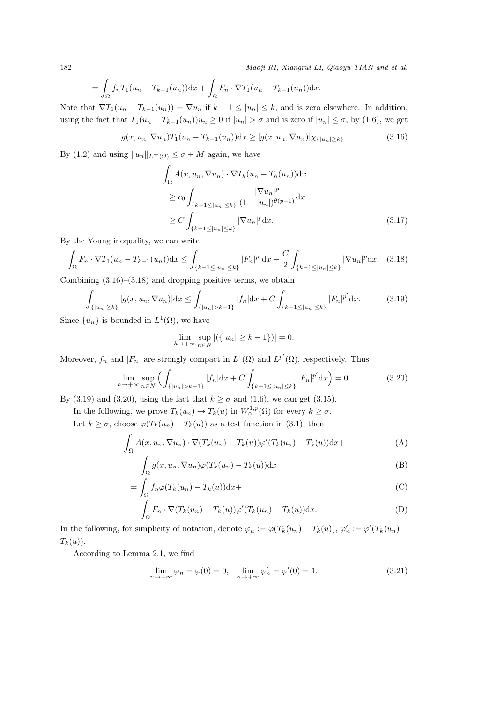$$
= \int_{\Omega} f_n T_1(u_n - T_{k-1}(u_n)) \mathrm{d}x + \int_{\Omega} F_n \cdot \nabla T_1(u_n - T_{k-1}(u_n)) \mathrm{d}x.
$$

Note that  $\nabla T_1(u_n - T_{k-1}(u_n)) = \nabla u_n$  if  $k-1 \leq |u_n| \leq k$ , and is zero elsewhere. In addition, using the fact that  $T_1(u_n - T_{k-1}(u_n))u_n \ge 0$  if  $|u_n| > \sigma$  and is zero if  $|u_n| \le \sigma$ , by (1.6), we get

$$
g(x, u_n, \nabla u_n) T_1(u_n - T_{k-1}(u_n)) dx \ge |g(x, u_n, \nabla u_n)| \chi_{\{|u_n| \ge k\}}.
$$
\n(3.16)

By (1.2) and using  $||u_n||_{L^{\infty}(\Omega)} \leq \sigma + M$  again, we have

 $\mathcal{L}$ 

$$
\int_{\Omega} A(x, u_n, \nabla u_n) \cdot \nabla T_k(u_n - T_h(u_n)) dx
$$
\n
$$
\geq c_0 \int_{\{k-1 \leq |u_n| \leq k\}} \frac{|\nabla u_n|^p}{(1+|u_n|)^{\theta(p-1)}} dx
$$
\n
$$
\geq C \int_{\{k-1 \leq |u_n| \leq k\}} |\nabla u_n|^p dx. \tag{3.17}
$$

By the Young inequality, we can write

$$
\int_{\Omega} F_n \cdot \nabla T_1(u_n - T_{k-1}(u_n)) dx \le \int_{\{k-1 \le |u_n| \le k\}} |F_n|^{p'} dx + \frac{C}{2} \int_{\{k-1 \le |u_n| \le k\}} |\nabla u_n|^p dx. \tag{3.18}
$$

Combining  $(3.16)$ – $(3.18)$  and dropping positive terms, we obtain

$$
\int_{\{|u_n| \ge k\}} |g(x, u_n, \nabla u_n)| dx \le \int_{\{|u_n| > k-1\}} |f_n| dx + C \int_{\{k-1 \le |u_n| \le k\}} |F_n|^{p'} dx. \tag{3.19}
$$

Since  $\{u_n\}$  is bounded in  $L^1(\Omega)$ , we have

$$
\lim_{h \to +\infty} \sup_{n \in N} |(\{|u_n| \ge k - 1\})| = 0.
$$

Moreover,  $f_n$  and  $|F_n|$  are strongly compact in  $L^1(\Omega)$  and  $L^{p'}(\Omega)$ , respectively. Thus

$$
\lim_{h \to +\infty} \sup_{n \in \mathbb{N}} \left( \int_{\{|u_n| > k-1\}} |f_n| dx + C \int_{\{k-1 \le |u_n| \le k\}} |F_n|^{p'} dx \right) = 0. \tag{3.20}
$$

By (3.19) and (3.20), using the fact that  $k \geq \sigma$  and (1.6), we can get (3.15).

In the following, we prove  $T_k(u_n) \to T_k(u)$  in  $W_0^{1,p}(\Omega)$  for every  $k \ge \sigma$ .

Let  $k \geq \sigma$ , choose  $\varphi(T_k(u_n) - T_k(u))$  as a test function in (3.1), then

$$
\int_{\Omega} A(x, u_n, \nabla u_n) \cdot \nabla (T_k(u_n) - T_k(u)) \varphi'(T_k(u_n) - T_k(u)) \mathrm{d}x +
$$
\n(A)

$$
\int_{\Omega} g(x, u_n, \nabla u_n) \varphi(T_k(u_n) - T_k(u)) \mathrm{d}x \tag{B}
$$

$$
= \int_{\Omega} f_n \varphi (T_k(u_n) - T_k(u)) \mathrm{d}x +
$$
 (C)

$$
\int_{\Omega} F_n \cdot \nabla (T_k(u_n) - T_k(u)) \varphi'(T_k(u_n) - T_k(u)) \mathrm{d}x. \tag{D}
$$

In the following, for simplicity of notation, denote  $\varphi_n := \varphi(T_k(u_n) - T_k(u)), \varphi'_n := \varphi'(T_k(u_n) - T_k(u))$  $T_k(u)$ .

According to Lemma 2.1, we find

$$
\lim_{n \to +\infty} \varphi_n = \varphi(0) = 0, \quad \lim_{n \to +\infty} \varphi'_n = \varphi'(0) = 1.
$$
\n(3.21)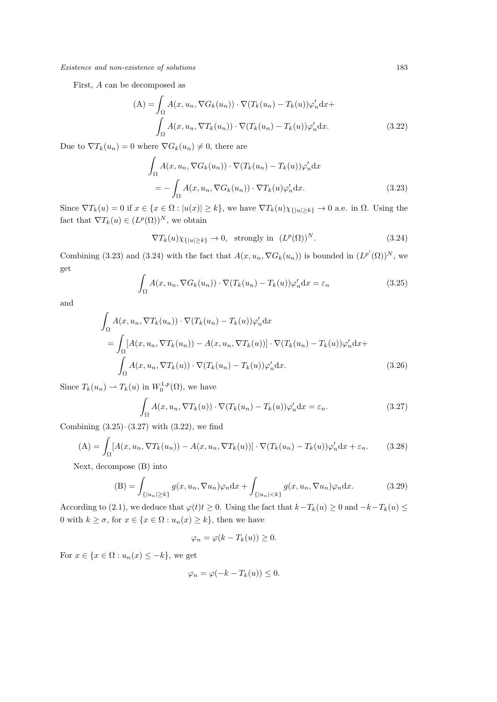First, *A* can be decomposed as

$$
(A) = \int_{\Omega} A(x, u_n, \nabla G_k(u_n)) \cdot \nabla (T_k(u_n) - T_k(u)) \varphi'_n dx +
$$

$$
\int_{\Omega} A(x, u_n, \nabla T_k(u_n)) \cdot \nabla (T_k(u_n) - T_k(u)) \varphi'_n dx.
$$
(3.22)

Due to  $\nabla T_k(u_n) = 0$  where  $\nabla G_k(u_n) \neq 0$ , there are

$$
\int_{\Omega} A(x, u_n, \nabla G_k(u_n)) \cdot \nabla (T_k(u_n) - T_k(u)) \varphi'_n \, dx
$$
\n
$$
= - \int_{\Omega} A(x, u_n, \nabla G_k(u_n)) \cdot \nabla T_k(u) \varphi'_n \, dx. \tag{3.23}
$$

Since  $\nabla T_k(u) = 0$  if  $x \in \{x \in \Omega : |u(x)| \ge k\}$ , we have  $\nabla T_k(u)\chi_{\{|u| \ge k\}} \to 0$  a.e. in  $\Omega$ . Using the fact that  $\nabla T_k(u) \in (L^p(\Omega))^N$ , we obtain

$$
\nabla T_k(u)\chi_{\{|u|\geq k\}} \to 0, \text{ strongly in } (L^p(\Omega))^N. \tag{3.24}
$$

Combining (3.23) and (3.24) with the fact that  $A(x, u_n, \nabla G_k(u_n))$  is bounded in  $(L^{p'}(\Omega))^N$ , we get

$$
\int_{\Omega} A(x, u_n, \nabla G_k(u_n)) \cdot \nabla (T_k(u_n) - T_k(u)) \varphi'_n \, dx = \varepsilon_n \tag{3.25}
$$

and

$$
\int_{\Omega} A(x, u_n, \nabla T_k(u_n)) \cdot \nabla (T_k(u_n) - T_k(u)) \varphi'_n \, dx
$$
\n
$$
= \int_{\Omega} [A(x, u_n, \nabla T_k(u_n)) - A(x, u_n, \nabla T_k(u))] \cdot \nabla (T_k(u_n) - T_k(u)) \varphi'_n \, dx +
$$
\n
$$
\int_{\Omega} A(x, u_n, \nabla T_k(u)) \cdot \nabla (T_k(u_n) - T_k(u)) \varphi'_n \, dx. \tag{3.26}
$$

Since  $T_k(u_n) \rightharpoonup T_k(u)$  in  $W_0^{1,p}(\Omega)$ , we have

$$
\int_{\Omega} A(x, u_n, \nabla T_k(u)) \cdot \nabla (T_k(u_n) - T_k(u)) \varphi'_n \, dx = \varepsilon_n. \tag{3.27}
$$

Combining  $(3.25)$ – $(3.27)$  with  $(3.22)$ , we find

$$
(A) = \int_{\Omega} [A(x, u_n, \nabla T_k(u_n)) - A(x, u_n, \nabla T_k(u))] \cdot \nabla (T_k(u_n) - T_k(u)) \varphi'_n dx + \varepsilon_n.
$$
 (3.28)

Next, decompose (B) into

$$
\text{(B)} = \int_{\{|u_n| \ge k\}} g(x, u_n, \nabla u_n) \varphi_n \, dx + \int_{\{|u_n| < k\}} g(x, u_n, \nabla u_n) \varphi_n \, dx. \tag{3.29}
$$

According to (2.1), we deduce that  $\varphi(t)t \geq 0$ . Using the fact that  $k - T_k(u) \geq 0$  and  $-k - T_k(u) \leq$ 0 with  $k \ge \sigma$ , for  $x \in \{x \in \Omega : u_n(x) \ge k\}$ , then we have

$$
\varphi_n = \varphi(k - T_k(u)) \ge 0.
$$

For  $x \in \{x \in \Omega : u_n(x) \leq -k\}$ , we get

$$
\varphi_n = \varphi(-k - T_k(u)) \le 0.
$$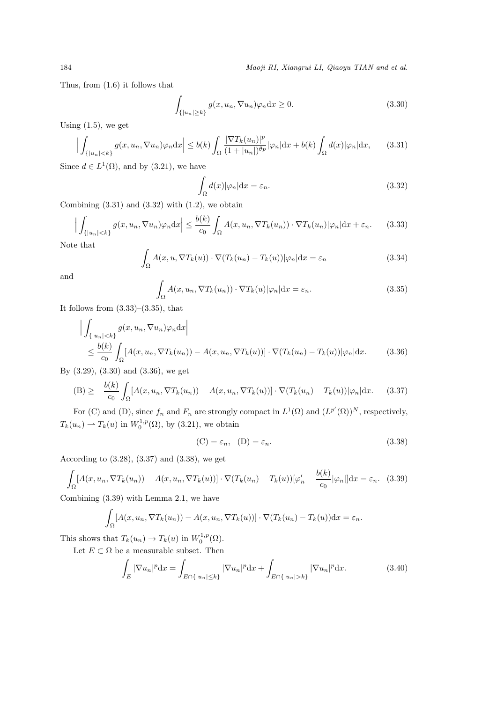Thus, from (1.6) it follows that

$$
\int_{\{|u_n| \ge k\}} g(x, u_n, \nabla u_n) \varphi_n \, dx \ge 0.
$$
\n(3.30)

Using  $(1.5)$ , we get

$$
\left| \int_{\{|u_n|< k\}} g(x, u_n, \nabla u_n) \varphi_n \mathrm{d}x \right| \le b(k) \int_{\Omega} \frac{|\nabla T_k(u_n)|^p}{(1+|u_n|)^{\theta p}} |\varphi_n| \mathrm{d}x + b(k) \int_{\Omega} d(x) |\varphi_n| \mathrm{d}x, \tag{3.31}
$$

Since  $d \in L^1(\Omega)$ , and by (3.21), we have

$$
\int_{\Omega} d(x)|\varphi_n| \mathrm{d}x = \varepsilon_n. \tag{3.32}
$$

Combining  $(3.31)$  and  $(3.32)$  with  $(1.2)$ , we obtain

$$
\Big| \int_{\{|u_n| < k\}} g(x, u_n, \nabla u_n) \varphi_n \mathrm{d}x \Big| \le \frac{b(k)}{c_0} \int_{\Omega} A(x, u_n, \nabla T_k(u_n)) \cdot \nabla T_k(u_n) |\varphi_n| \mathrm{d}x + \varepsilon_n. \tag{3.33}
$$

Note that

$$
\int_{\Omega} A(x, u, \nabla T_k(u)) \cdot \nabla (T_k(u_n) - T_k(u)) |\varphi_n| \, dx = \varepsilon_n \tag{3.34}
$$

and

$$
\int_{\Omega} A(x, u_n, \nabla T_k(u_n)) \cdot \nabla T_k(u) |\varphi_n| \, dx = \varepsilon_n.
$$
\n(3.35)

It follows from  $(3.33)$ – $(3.35)$ , that

$$
\left| \int_{\{|u_n|< k\}} g(x, u_n, \nabla u_n) \varphi_n \mathrm{d}x \right|
$$
  
\n
$$
\leq \frac{b(k)}{c_0} \int_{\Omega} [A(x, u_n, \nabla T_k(u_n)) - A(x, u_n, \nabla T_k(u))] \cdot \nabla (T_k(u_n) - T_k(u)) |\varphi_n| \mathrm{d}x.
$$
 (3.36)

By (3.29), (3.30) and (3.36), we get

$$
(B) \ge -\frac{b(k)}{c_0} \int_{\Omega} [A(x, u_n, \nabla T_k(u_n)) - A(x, u_n, \nabla T_k(u))] \cdot \nabla (T_k(u_n) - T_k(u)) |\varphi_n| dx. \tag{3.37}
$$

For (C) and (D), since  $f_n$  and  $F_n$  are strongly compact in  $L^1(\Omega)$  and  $(L^{p'}(\Omega))^N$ , respectively,  $T_k(u_n) \rightharpoonup T_k(u)$  in  $W_0^{1,p}(\Omega)$ , by (3.21), we obtain

$$
(C) = \varepsilon_n, \quad (D) = \varepsilon_n. \tag{3.38}
$$

According to (3.28), (3.37) and (3.38), we get

$$
\int_{\Omega} [A(x, u_n, \nabla T_k(u_n)) - A(x, u_n, \nabla T_k(u))] \cdot \nabla (T_k(u_n) - T_k(u)) [\varphi'_n - \frac{b(k)}{c_0} |\varphi_n|] dx = \varepsilon_n. \tag{3.39}
$$

Combining (3.39) with Lemma 2.1, we have

$$
\int_{\Omega} [A(x, u_n, \nabla T_k(u_n)) - A(x, u_n, \nabla T_k(u))] \cdot \nabla (T_k(u_n) - T_k(u)) \, dx = \varepsilon_n.
$$

This shows that  $T_k(u_n) \to T_k(u)$  in  $W_0^{1,p}(\Omega)$ .

Let  $E \subset \Omega$  be a measurable subset. Then

$$
\int_{E} |\nabla u_n|^p \, \mathrm{d}x = \int_{E \cap \{|u_n| \le k\}} |\nabla u_n|^p \, \mathrm{d}x + \int_{E \cap \{|u_n| > k\}} |\nabla u_n|^p \, \mathrm{d}x. \tag{3.40}
$$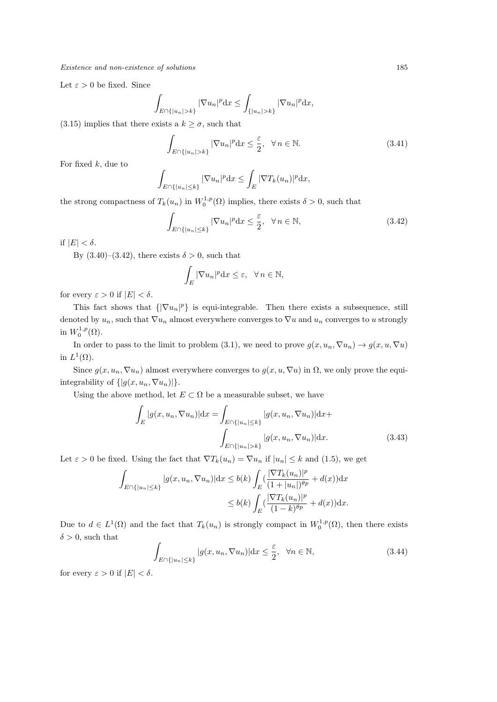Let  $\varepsilon > 0$  be fixed. Since

$$
\int_{E \cap \{|u_n|>k\}} |\nabla u_n|^p \, dx \le \int_{\{|u_n|>k\}} |\nabla u_n|^p \, dx,
$$

(3.15) implies that there exists a  $k \geq \sigma$ , such that

$$
\int_{E \cap \{|u_n| > k\}} |\nabla u_n|^p \, dx \le \frac{\varepsilon}{2}, \quad \forall \, n \in \mathbb{N}.\tag{3.41}
$$

For fixed *k*, due to

$$
\int_{E \cap \{|u_n| \le k\}} |\nabla u_n|^p \, dx \le \int_E |\nabla T_k(u_n)|^p \, dx,
$$

the strong compactness of  $T_k(u_n)$  in  $W_0^{1,p}(\Omega)$  implies, there exists  $\delta > 0$ , such that

$$
\int_{E \cap \{|u_n| \le k\}} |\nabla u_n|^p \, dx \le \frac{\varepsilon}{2}, \quad \forall \, n \in \mathbb{N},\tag{3.42}
$$

if  $|E| < \delta$ .

By  $(3.40)$ – $(3.42)$ , there exists  $\delta > 0$ , such that

$$
\int_E |\nabla u_n|^p \, dx \le \varepsilon, \quad \forall \, n \in \mathbb{N},
$$

for every  $\varepsilon > 0$  if  $|E| < \delta$ .

This fact shows that  $\{\nabla u_n|^p\}$  is equi-integrable. Then there exists a subsequence, still denoted by  $u_n$ , such that  $\nabla u_n$  almost everywhere converges to  $\nabla u$  and  $u_n$  converges to *u* strongly in  $W_0^{1,p}(\Omega)$ .

In order to pass to the limit to problem (3.1), we need to prove  $g(x, u_n, \nabla u_n) \to g(x, u, \nabla u)$ in  $L^1(\Omega)$ .

Since  $g(x, u_n, \nabla u_n)$  almost everywhere converges to  $g(x, u, \nabla u)$  in  $\Omega$ , we only prove the equiintegrability of  $\{|g(x, u_n, \nabla u_n)|\}.$ 

Using the above method, let  $E \subset \Omega$  be a measurable subset, we have

$$
\int_{E} |g(x, u_n, \nabla u_n)| dx = \int_{E \cap \{|u_n| \le k\}} |g(x, u_n, \nabla u_n)| dx +
$$
\n
$$
\int_{E \cap \{|u_n| > k\}} |g(x, u_n, \nabla u_n)| dx. \tag{3.43}
$$

Let  $\varepsilon > 0$  be fixed. Using the fact that  $\nabla T_k(u_n) = \nabla u_n$  if  $|u_n| \leq k$  and (1.5), we get

$$
\int_{E \cap \{|u_n| \le k\}} |g(x, u_n, \nabla u_n)| dx \le b(k) \int_E \left(\frac{|\nabla T_k(u_n)|^p}{(1+|u_n|)^{\theta p}} + d(x)\right) dx
$$
  

$$
\le b(k) \int_E \left(\frac{|\nabla T_k(u_n)|^p}{(1-k)^{\theta p}} + d(x)\right) dx.
$$

Due to  $d \in L^1(\Omega)$  and the fact that  $T_k(u_n)$  is strongly compact in  $W_0^{1,p}(\Omega)$ , then there exists  $\delta > 0$ , such that

$$
\int_{E \cap \{|u_n| \le k\}} |g(x, u_n, \nabla u_n)| dx \le \frac{\varepsilon}{2}, \quad \forall n \in \mathbb{N},
$$
\n(3.44)

for every  $\varepsilon > 0$  if  $|E| < \delta$ .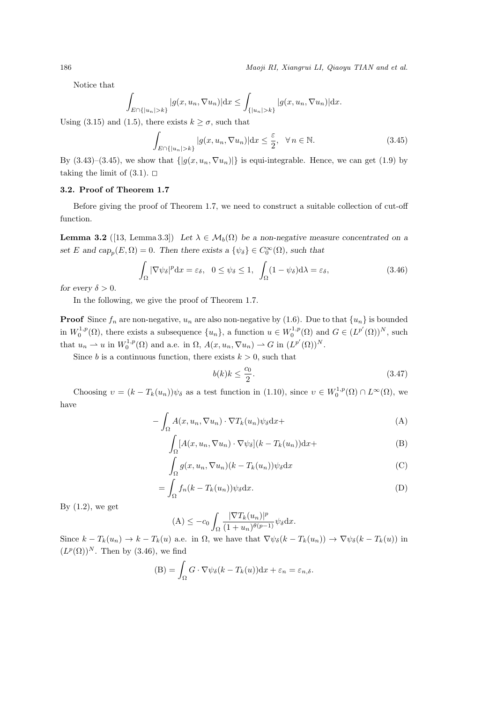Notice that

$$
\int_{E \cap \{|u_n|>k\}} |g(x, u_n, \nabla u_n)| \,dx \leq \int_{\{|u_n|>k\}} |g(x, u_n, \nabla u_n)| \,dx.
$$

Using (3.15) and (1.5), there exists  $k \geq \sigma$ , such that

$$
\int_{E \cap \{|u_n| > k\}} |g(x, u_n, \nabla u_n)| dx \le \frac{\varepsilon}{2}, \quad \forall n \in \mathbb{N}.
$$
\n(3.45)

By  $(3.43)-(3.45)$ , we show that  $\{|g(x, u_n, \nabla u_n)|\}$  is equi-integrable. Hence, we can get (1.9) by taking the limit of  $(3.1)$ .  $\Box$ 

### **3.2. Proof of Theorem 1.7**

Before giving the proof of Theorem 1.7, we need to construct a suitable collection of cut-off function.

**Lemma 3.2** ([13, Lemma 3.3]) *Let*  $\lambda \in M_b(\Omega)$  *be a non-negative measure concentrated on a set E* and  $cap_p(E, \Omega) = 0$ *. Then there exists a*  $\{\psi_{\delta}\} \in C_0^{\infty}(\Omega)$ *, such that* 

$$
\int_{\Omega} |\nabla \psi_{\delta}|^{p} dx = \varepsilon_{\delta}, \quad 0 \le \psi_{\delta} \le 1, \quad \int_{\Omega} (1 - \psi_{\delta}) d\lambda = \varepsilon_{\delta}, \tag{3.46}
$$

*for every*  $\delta > 0$ *.* 

In the following, we give the proof of Theorem 1.7.

**Proof** Since  $f_n$  are non-negative,  $u_n$  are also non-negative by (1.6). Due to that  $\{u_n\}$  is bounded in  $W_0^{1,p}(\Omega)$ , there exists a subsequence  $\{u_n\}$ , a function  $u \in W_0^{1,p}(\Omega)$  and  $G \in (L^{p'}(\Omega))^N$ , such that  $u_n \rightharpoonup u$  in  $W_0^{1,p}(\Omega)$  and a.e. in  $\Omega$ ,  $A(x, u_n, \nabla u_n) \rightharpoonup G$  in  $(L^{p'}(\Omega))^{N}$ .

Since *b* is a continuous function, there exists  $k > 0$ , such that

$$
b(k)k \le \frac{c_0}{2}.\tag{3.47}
$$

Choosing  $v = (k - T_k(u_n))\psi_\delta$  as a test function in (1.10), since  $v \in W_0^{1,p}(\Omega) \cap L^\infty(\Omega)$ , we have

$$
-\int_{\Omega} A(x, u_n, \nabla u_n) \cdot \nabla T_k(u_n) \psi_{\delta} \mathrm{d}x +
$$
\n(A)

$$
\int_{\Omega} [A(x, u_n, \nabla u_n) \cdot \nabla \psi_{\delta}] (k - T_k(u_n)) \mathrm{d}x +
$$
 (B)

$$
\int_{\Omega} g(x, u_n, \nabla u_n)(k - T_k(u_n)) \psi_{\delta} \mathrm{d}x \tag{C}
$$

$$
= \int_{\Omega} f_n(k - T_k(u_n)) \psi_{\delta} \mathrm{d}x. \tag{D}
$$

By  $(1.2)$ , we get

$$
(\mathbf{A}) \le -c_0 \int_{\Omega} \frac{|\nabla T_k(u_n)|^p}{(1+u_n)^{\theta(p-1)}} \psi_{\delta} \mathrm{d}x.
$$

Since  $k - T_k(u_n) \to k - T_k(u)$  a.e. in  $\Omega$ , we have that  $\nabla \psi_\delta(k - T_k(u_n)) \to \nabla \psi_\delta(k - T_k(u))$  in  $(L^p(\Omega))^N$ . Then by (3.46), we find

(B) = 
$$
\int_{\Omega} G \cdot \nabla \psi_{\delta}(k - T_k(u)) \, dx + \varepsilon_n = \varepsilon_{n,\delta}.
$$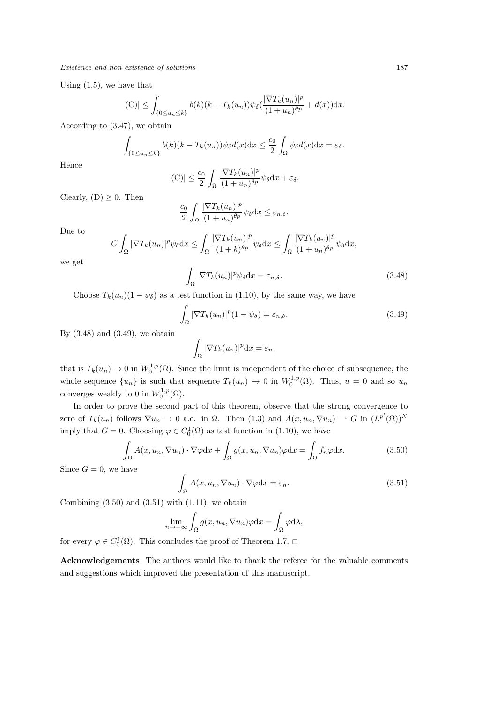Using (1.5), we have that

$$
|(\mathcal{C})| \leq \int_{\{0 \leq u_n \leq k\}} b(k)(k - T_k(u_n)) \psi_{\delta}(\frac{|\nabla T_k(u_n)|^p}{(1 + u_n)^{\theta p}} + d(x)) \mathrm{d}x.
$$

According to (3.47), we obtain

$$
\int_{\{0\leq u_n\leq k\}} b(k)(k-T_k(u_n))\psi_\delta d(x)dx \leq \frac{c_0}{2}\int_{\Omega} \psi_\delta d(x)dx = \varepsilon_\delta.
$$

Hence

$$
|(C)| \leq \frac{c_0}{2} \int_{\Omega} \frac{|\nabla T_k(u_n)|^p}{(1+u_n)^{\theta p}} \psi_{\delta} dx + \varepsilon_{\delta}.
$$

Clearly,  $(D) \geq 0$ . Then

$$
\frac{c_0}{2} \int_{\Omega} \frac{|\nabla T_k(u_n)|^p}{(1+u_n)^{\theta p}} \psi_{\delta} \mathrm{d}x \le \varepsilon_{n,\delta}.
$$

Due to

$$
C \int_{\Omega} |\nabla T_k(u_n)|^p \psi_{\delta} dx \le \int_{\Omega} \frac{|\nabla T_k(u_n)|^p}{(1+k)^{\theta p}} \psi_{\delta} dx \le \int_{\Omega} \frac{|\nabla T_k(u_n)|^p}{(1+u_n)^{\theta p}} \psi_{\delta} dx,
$$

we get

 $\Omega \left| \nabla T_k(u_n) \right|^p \psi_\delta \, \mathrm{d}x = \varepsilon_{n,\delta}.$  (3.48)

Choose 
$$
T_k(u_n)(1 - \psi_\delta)
$$
 as a test function in (1.10), by the same way, we have

$$
\int_{\Omega} |\nabla T_k(u_n)|^p (1 - \psi_{\delta}) = \varepsilon_{n,\delta}.
$$
\n(3.49)

By  $(3.48)$  and  $(3.49)$ , we obtain

$$
\int_{\Omega} |\nabla T_k(u_n)|^p \mathrm{d}x = \varepsilon_n,
$$

that is  $T_k(u_n) \to 0$  in  $W_0^{1,p}(\Omega)$ . Since the limit is independent of the choice of subsequence, the whole sequence  $\{u_n\}$  is such that sequence  $T_k(u_n) \to 0$  in  $W_0^{1,p}(\Omega)$ . Thus,  $u = 0$  and so  $u_n$ converges weakly to 0 in  $W_0^{1,p}(\Omega)$ .

In order to prove the second part of this theorem, observe that the strong convergence to zero of  $T_k(u_n)$  follows  $\nabla u_n \to 0$  a.e. in  $\Omega$ . Then  $(1.3)$  and  $A(x, u_n, \nabla u_n) \to G$  in  $(L^{p'}(\Omega))^N$ imply that  $G = 0$ . Choosing  $\varphi \in C_0^1(\Omega)$  as test function in (1.10), we have

$$
\int_{\Omega} A(x, u_n, \nabla u_n) \cdot \nabla \varphi dx + \int_{\Omega} g(x, u_n, \nabla u_n) \varphi dx = \int_{\Omega} f_n \varphi dx.
$$
\n(3.50)

Since  $G = 0$ , we have

$$
\int_{\Omega} A(x, u_n, \nabla u_n) \cdot \nabla \varphi \, dx = \varepsilon_n. \tag{3.51}
$$

Combining  $(3.50)$  and  $(3.51)$  with  $(1.11)$ , we obtain

$$
\lim_{n \to +\infty} \int_{\Omega} g(x, u_n, \nabla u_n) \varphi \mathrm{d}x = \int_{\Omega} \varphi \mathrm{d}\lambda,
$$

for every  $\varphi \in C_0^1(\Omega)$ . This concludes the proof of Theorem 1.7.  $\Box$ 

**Acknowledgements** The authors would like to thank the referee for the valuable comments and suggestions which improved the presentation of this manuscript.